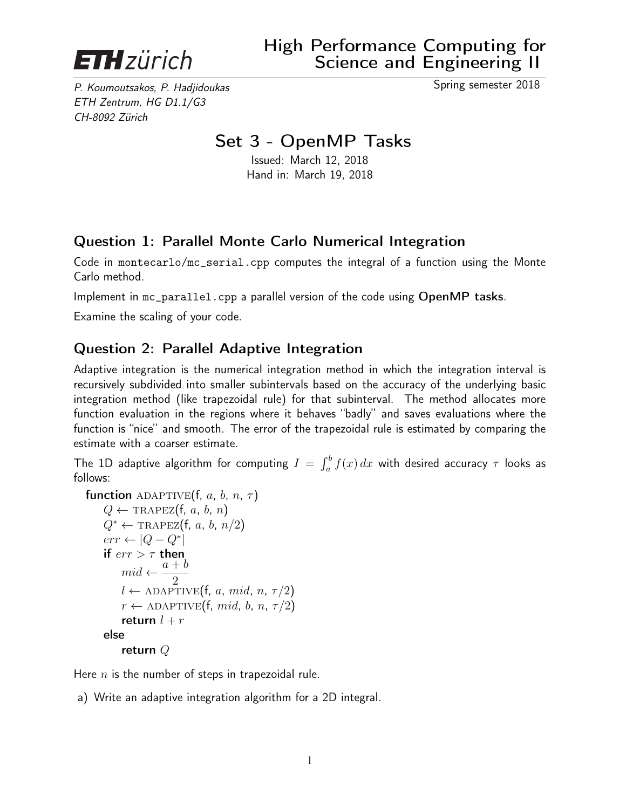

P. Koumoutsakos, P. Hadjidoukas Spring semester 2018 ETH Zentrum, HG D1.1/G3 CH-8092 Zürich

## Set 3 - OpenMP Tasks

Issued: March 12, 2018 Hand in: March 19, 2018

## Question 1: Parallel Monte Carlo Numerical Integration

Code in montecarlo/mc\_serial.cpp computes the integral of a function using the Monte Carlo method.

Implement in mc\_parallel.cpp a parallel version of the code using OpenMP tasks.

Examine the scaling of your code.

## Question 2: Parallel Adaptive Integration

Adaptive integration is the numerical integration method in which the integration interval is recursively subdivided into smaller subintervals based on the accuracy of the underlying basic integration method (like trapezoidal rule) for that subinterval. The method allocates more function evaluation in the regions where it behaves "badly" and saves evaluations where the function is "nice" and smooth. The error of the trapezoidal rule is estimated by comparing the estimate with a coarser estimate.

The 1D adaptive algorithm for computing  $I\,=\,\int_a^b f(x)\,dx$  with desired accuracy  $\,\tau$  looks as follows:

```
function ADAPTIVE(f, a, b, n, \tau)
Q \leftarrow \text{TRAPEZ}(f, a, b, n)Q^* \leftarrow \text{TRAPEZ}(f, a, b, n/2)err \leftarrow |Q - Q^*|if err > \tau then
     mid \leftarrow \frac{a+b}{2}2
     l \leftarrow ADAPTIVE(f, a, mid, n, \tau/2)
     r \leftarrow ADAPTIVE(f, mid, b, n, \tau/2)
     return l + relse
     return Q
```
Here  $n$  is the number of steps in trapezoidal rule.

a) Write an adaptive integration algorithm for a 2D integral.